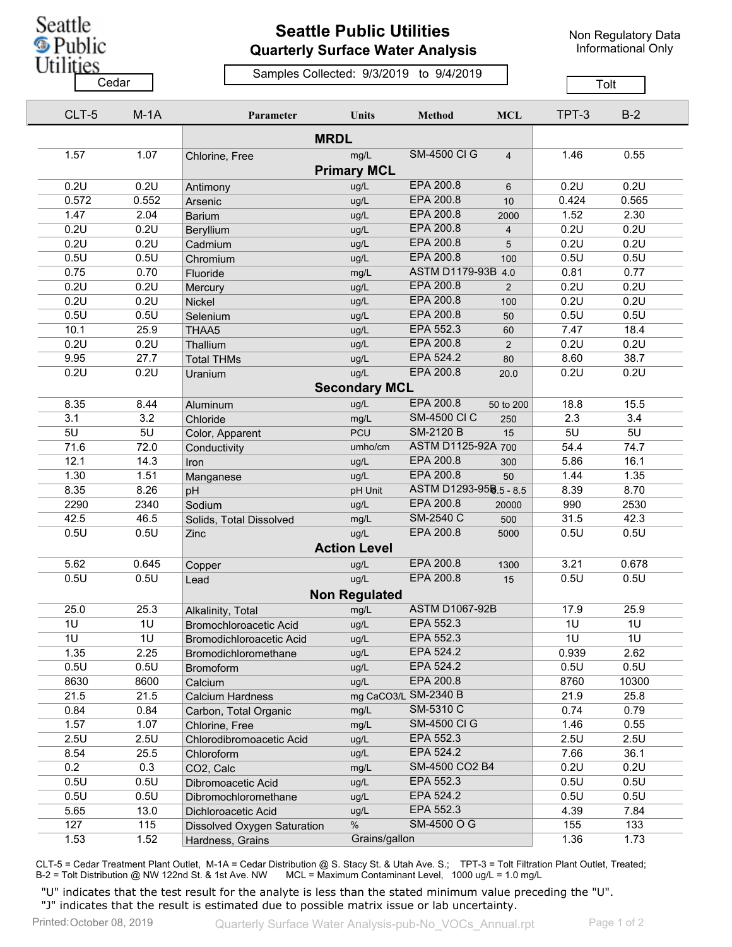Seattle **S** Public **Utilities** 

## **Seattle Public Utilities Quarterly Surface Water Analysis**

Non Regulatory Data Informational Only

## Samples Collected: 9/3/2019 to 9/4/2019 Cedar **Cedar Cedar Cedar Cedar Cedar Cedar Cedar Cedar Cedar Cedar Cedar Cedar Cedar Cedar Cedar Cedar Cedar Cedar Cedar Cedar Cedar Cedar Cedar Cedar Cedar Cedar Cedar**

| CLT-5 | $M-1A$ | Parameter                     | <b>Units</b>         | Method                 | <b>MCL</b>     | TPT-3 | $B-2$           |
|-------|--------|-------------------------------|----------------------|------------------------|----------------|-------|-----------------|
|       |        |                               | <b>MRDL</b>          |                        |                |       |                 |
| 1.57  | 1.07   | Chlorine, Free                | mg/L                 | <b>SM-4500 CI G</b>    | $\overline{4}$ | 1.46  | 0.55            |
|       |        |                               | <b>Primary MCL</b>   |                        |                |       |                 |
| 0.2U  | 0.2U   | Antimony                      | ug/L                 | EPA 200.8              | 6              | 0.2U  | 0.2U            |
| 0.572 | 0.552  | Arsenic                       | ug/L                 | EPA 200.8              | 10             | 0.424 | 0.565           |
| 1.47  | 2.04   | <b>Barium</b>                 | ug/L                 | EPA 200.8              | 2000           | 1.52  | 2.30            |
| 0.2U  | 0.2U   | Beryllium                     | ug/L                 | EPA 200.8              | $\overline{4}$ | 0.2U  | 0.2U            |
| 0.2U  | 0.2U   | Cadmium                       | ug/L                 | EPA 200.8              | 5              | 0.2U  | 0.2U            |
| 0.5U  | 0.5U   | Chromium                      | ug/L                 | <b>EPA 200.8</b>       | 100            | 0.5U  | 0.5U            |
| 0.75  | 0.70   | Fluoride                      | mg/L                 | ASTM D1179-93B 4.0     |                | 0.81  | 0.77            |
| 0.2U  | 0.2U   | Mercury                       | ug/L                 | EPA 200.8              | 2              | 0.2U  | 0.2U            |
| 0.2U  | 0.2U   | Nickel                        | ug/L                 | EPA 200.8              | 100            | 0.2U  | 0.2U            |
| 0.5U  | 0.5U   | Selenium                      | ug/L                 | EPA 200.8              | 50             | 0.5U  | 0.5U            |
| 10.1  | 25.9   | THAA5                         | ug/L                 | EPA 552.3              | 60             | 7.47  | 18.4            |
| 0.2U  | 0.2U   | Thallium                      | ug/L                 | EPA 200.8              | 2              | 0.2U  | 0.2U            |
| 9.95  | 27.7   | <b>Total THMs</b>             | ug/L                 | EPA 524.2              | 80             | 8.60  | 38.7            |
| 0.2U  | 0.2U   | Uranium                       | ug/L                 | <b>EPA 200.8</b>       | 20.0           | 0.2U  | 0.2U            |
|       |        |                               | <b>Secondary MCL</b> |                        |                |       |                 |
| 8.35  | 8.44   | Aluminum                      | ug/L                 | EPA 200.8              | 50 to 200      | 18.8  | 15.5            |
| 3.1   | 3.2    | Chloride                      | mg/L                 | <b>SM-4500 CI C</b>    | 250            | 2.3   | 3.4             |
| 5U    | 5U     | Color, Apparent               | <b>PCU</b>           | <b>SM-2120 B</b>       | 15             | 5U    | 5U              |
| 71.6  | 72.0   | Conductivity                  | umho/cm              | ASTM D1125-92A 700     |                | 54.4  | 74.7            |
| 12.1  | 14.3   | Iron                          | ug/L                 | EPA 200.8              | 300            | 5.86  | 16.1            |
| 1.30  | 1.51   | Manganese                     | ug/L                 | EPA 200.8              | 50             | 1.44  | 1.35            |
| 8.35  | 8.26   | pH                            | pH Unit              | ASTM D1293-958.5 - 8.5 |                | 8.39  | 8.70            |
| 2290  | 2340   | Sodium                        | ug/L                 | EPA 200.8              | 20000          | 990   | 2530            |
| 42.5  | 46.5   | Solids, Total Dissolved       | mg/L                 | SM-2540 C              | 500            | 31.5  | 42.3            |
| 0.5U  | 0.5U   | Zinc                          | ug/L                 | EPA 200.8              | 5000           | 0.5U  | 0.5U            |
|       |        |                               | <b>Action Level</b>  |                        |                |       |                 |
| 5.62  | 0.645  |                               |                      | EPA 200.8              |                | 3.21  | 0.678           |
| 0.5U  | 0.5U   | Copper                        | ug/L<br>ug/L         | EPA 200.8              | 1300           | 0.5U  | 0.5U            |
|       |        | Lead                          |                      |                        | 15             |       |                 |
|       |        |                               | <b>Non Regulated</b> |                        |                |       |                 |
| 25.0  | 25.3   | Alkalinity, Total             | mg/L                 | <b>ASTM D1067-92B</b>  |                | 17.9  | 25.9            |
| 1U    | 1U     | <b>Bromochloroacetic Acid</b> | ug/L                 | EPA 552.3              |                | 1U    | 1U              |
| 10    | 10     | Bromodichloroacetic Acid      | ug/L                 | EPA 552.3              |                | 10    | $\overline{1U}$ |
| 1.35  | 2.25   | Bromodichloromethane          | ug/L                 | EPA 524.2              |                | 0.939 | 2.62            |
| 0.5U  | 0.5U   | <b>Bromoform</b>              | ug/L                 | EPA 524.2              |                | 0.5U  | 0.5U            |
| 8630  | 8600   | Calcium                       | ug/L                 | EPA 200.8              |                | 8760  | 10300           |
| 21.5  | 21.5   | <b>Calcium Hardness</b>       |                      | mg CaCO3/L SM-2340 B   |                | 21.9  | 25.8            |
| 0.84  | 0.84   | Carbon, Total Organic         | mg/L                 | SM-5310 C              |                | 0.74  | 0.79            |
| 1.57  | 1.07   | Chlorine, Free                | mg/L                 | <b>SM-4500 CI G</b>    |                | 1.46  | 0.55            |
| 2.5U  | 2.5U   | Chlorodibromoacetic Acid      | ug/L                 | EPA 552.3              |                | 2.5U  | 2.5U            |
| 8.54  | 25.5   | Chloroform                    | ug/L                 | EPA 524.2              |                | 7.66  | 36.1            |
| 0.2   | 0.3    | CO2, Calc                     | mg/L                 | SM-4500 CO2 B4         |                | 0.2U  | 0.2U            |
| 0.5U  | 0.5U   | Dibromoacetic Acid            | ug/L                 | EPA 552.3              |                | 0.5U  | 0.5U            |
| 0.5U  | 0.5U   | Dibromochloromethane          | ug/L                 | EPA 524.2              |                | 0.5U  | 0.5U            |
| 5.65  | 13.0   | Dichloroacetic Acid           | ug/L                 | EPA 552.3              |                | 4.39  | 7.84            |
| 127   | 115    | Dissolved Oxygen Saturation   | $\%$                 | SM-4500 O G            |                | 155   | 133             |
| 1.53  | 1.52   | Hardness, Grains              | Grains/gallon        |                        |                | 1.36  | 1.73            |

CLT-5 = Cedar Treatment Plant Outlet, M-1A = Cedar Distribution @ S. Stacy St. & Utah Ave. S.; TPT-3 = Tolt Filtration Plant Outlet, Treated; B-2 = Tolt Distribution @ NW 122nd St. & 1st Ave. NW MCL = Maximum Contaminant Level, 1000 ug/L = 1.0 mg/L

"U" indicates that the test result for the analyte is less than the stated minimum value preceding the "U". "J" indicates that the result is estimated due to possible matrix issue or lab uncertainty.